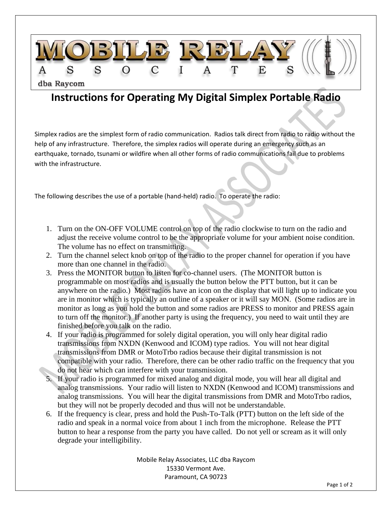

## **Instructions for Operating My Digital Simplex Portable Radio**

Simplex radios are the simplest form of radio communication. Radios talk direct from radio to radio without the help of any infrastructure. Therefore, the simplex radios will operate during an emergency such as an earthquake, tornado, tsunami or wildfire when all other forms of radio communications fail due to problems with the infrastructure.

The following describes the use of a portable (hand-held) radio. To operate the radio:

- 1. Turn on the ON-OFF VOLUME control on top of the radio clockwise to turn on the radio and adjust the receive volume control to be the appropriate volume for your ambient noise condition. The volume has no effect on transmitting.
- 2. Turn the channel select knob on top of the radio to the proper channel for operation if you have more than one channel in the radio.
- 3. Press the MONITOR button to listen for co-channel users. (The MONITOR button is programmable on most radios and is usually the button below the PTT button, but it can be anywhere on the radio.) Most radios have an icon on the display that will light up to indicate you are in monitor which is typically an outline of a speaker or it will say MON. (Some radios are in monitor as long as you hold the button and some radios are PRESS to monitor and PRESS again to turn off the monitor.) If another party is using the frequency, you need to wait until they are finished before you talk on the radio.
- 4. If your radio is programmed for solely digital operation, you will only hear digital radio transmissions from NXDN (Kenwood and ICOM) type radios. You will not hear digital transmissions from DMR or MotoTrbo radios because their digital transmission is not compatible with your radio. Therefore, there can be other radio traffic on the frequency that you do not hear which can interfere with your transmission.
- 5. If your radio is programmed for mixed analog and digital mode, you will hear all digital and analog transmissions. Your radio will listen to NXDN (Kenwood and ICOM) transmissions and analog transmissions. You will hear the digital transmissions from DMR and MotoTrbo radios, but they will not be properly decoded and thus will not be understandable.
- 6. If the frequency is clear, press and hold the Push-To-Talk (PTT) button on the left side of the radio and speak in a normal voice from about 1 inch from the microphone. Release the PTT button to hear a response from the party you have called. Do not yell or scream as it will only degrade your intelligibility.

Mobile Relay Associates, LLC dba Raycom 15330 Vermont Ave. Paramount, CA 90723